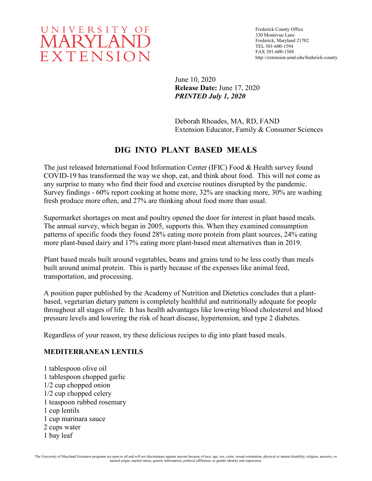

June 10, 2020 **Release Date:** June 17, 2020 *PRINTED July 1, 2020*

Deborah Rhoades, MA, RD, FAND Extension Educator, Family & Consumer Sciences

# **DIG INTO PLANT BASED MEALS**

The just released International Food Information Center (IFIC) Food & Health survey found COVID-19 has transformed the way we shop, eat, and think about food. This will not come as any surprise to many who find their food and exercise routines disrupted by the pandemic. Survey findings - 60% report cooking at home more, 32% are snacking more, 30% are washing fresh produce more often, and 27% are thinking about food more than usual.

Supermarket shortages on meat and poultry opened the door for interest in plant based meals. The annual survey, which began in 2005, supports this. When they examined consumption patterns of specific foods they found 28% eating more protein from plant sources, 24% eating more plant-based dairy and 17% eating more plant-based meat alternatives than in 2019.

Plant based meals built around vegetables, beans and grains tend to be less costly than meals built around animal protein. This is partly because of the expenses like animal feed, transportation, and processing.

A position paper published by the Academy of Nutrition and Dietetics concludes that a plantbased, vegetarian dietary pattern is completely healthful and nutritionally adequate for people throughout all stages of life. It has health advantages like lowering blood cholesterol and blood pressure levels and lowering the risk of heart disease, hypertension, and type 2 diabetes.

Regardless of your reason, try these delicious recipes to dig into plant based meals.

#### **MEDITERRANEAN LENTILS**

1 tablespoon olive oil 1 tablespoon chopped garlic 1/2 cup chopped onion 1/2 cup chopped celery 1 teaspoon rubbed rosemary 1 cup lentils 1 cup marinara sauce 2 cups water 1 bay leaf